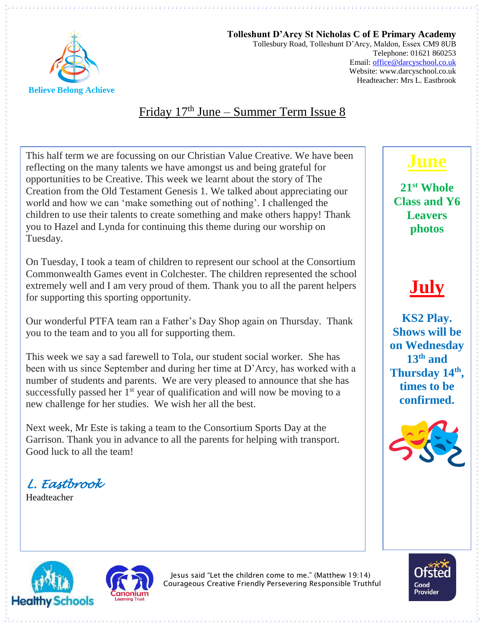

**Tolleshunt D'Arcy St Nicholas C of E Primary Academy** Tollesbury Road, Tolleshunt D'Arcy, Maldon, Essex CM9 8UB Telephone: 01621 860253 Email[: office@darcyschool.co.uk](mailto:office@darcyschool.co.uk) Website: www.darcyschool.co.uk Headteacher: Mrs L. Eastbrook

#### Friday 17<sup>th</sup> June – Summer Term Issue 8

This half term we are focussing on our Christian Value Creative. We have been reflecting on the many talents we have amongst us and being grateful for opportunities to be Creative. This week we learnt about the story of The Creation from the Old Testament Genesis 1. We talked about appreciating our world and how we can 'make something out of nothing'. I challenged the children to use their talents to create something and make others happy! Thank you to Hazel and Lynda for continuing this theme during our worship on Tuesday.

On Tuesday, I took a team of children to represent our school at the Consortium Commonwealth Games event in Colchester. The children represented the school extremely well and I am very proud of them. Thank you to all the parent helpers for supporting this sporting opportunity.

Our wonderful PTFA team ran a Father's Day Shop again on Thursday. Thank you to the team and to you all for supporting them.

This week we say a sad farewell to Tola, our student social worker. She has been with us since September and during her time at D'Arcy, has worked with a number of students and parents. We are very pleased to announce that she has successfully passed her  $1<sup>st</sup>$  year of qualification and will now be moving to a new challenge for her studies. We wish her all the best.

Next week, Mr Este is taking a team to the Consortium Sports Day at the Garrison. Thank you in advance to all the parents for helping with transport. Good luck to all the team!

*L. Eastbrook* 

Headteacher

## **June**

**21st Whole Class and Y6 Leavers photos**

# **July**

**KS2 Play. Shows will be on Wednesday 13th and Thursday 14th , times to be confirmed.**







Jesus said "Let the children come to me." (Matthew 19:14) Courageous Creative Friendly Persevering Responsible Truthful